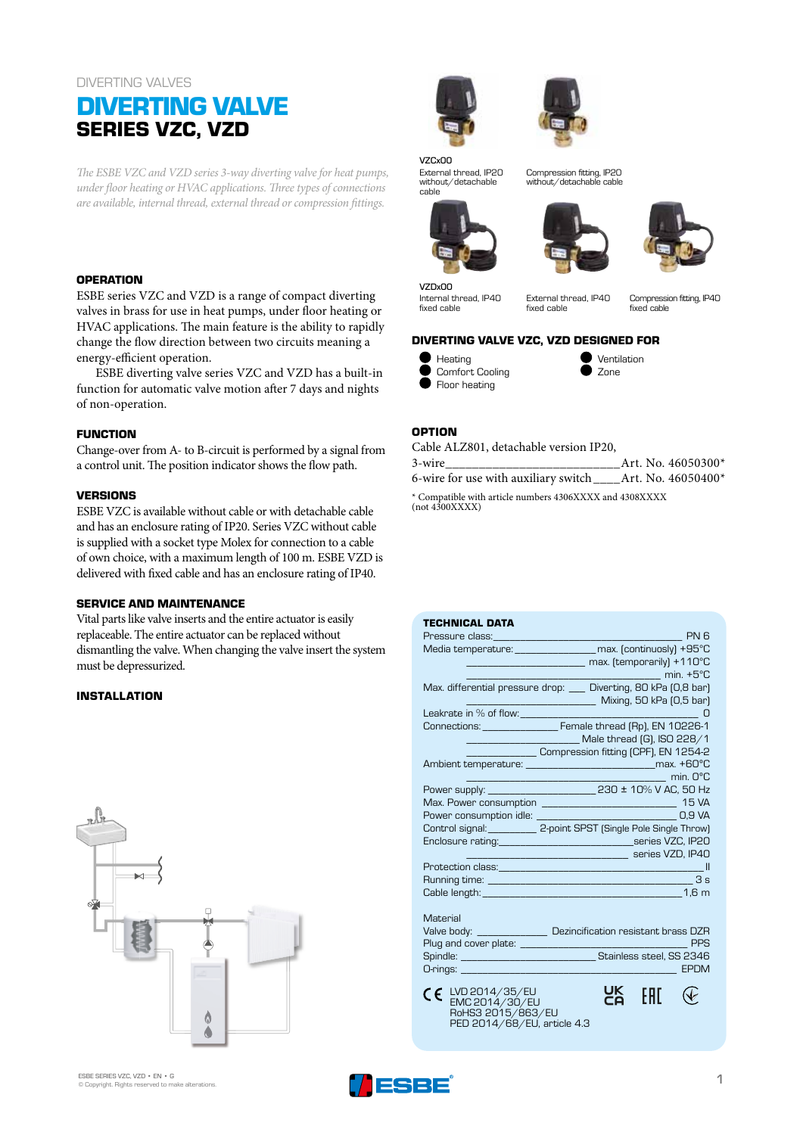# DIVERTING VALVES

# **DIVERTING VALVE SERIES VZC, VZD**

*The ESBE VZC and VZD series 3-way diverting valve for heat pumps, under floor heating or HVAC applications. Three types of connections are available, internal thread, external thread or compression fittings.*

#### **OPERATION**

ESBE series VZC and VZD is a range of compact diverting valves in brass for use in heat pumps, under floor heating or HVAC applications. The main feature is the ability to rapidly change the flow direction between two circuits meaning a energy-efficient operation.

ESBE diverting valve series VZC and VZD has a built-in function for automatic valve motion after 7 days and nights of non-operation.

### **FUNCTION**

Change-over from A- to B-circuit is performed by a signal from a control unit. The position indicator shows the flow path.

### **VERSIONS**

ESBE VZC is available without cable or with detachable cable and has an enclosure rating of IP20. Series VZC without cable is supplied with a socket type Molex for connection to a cable of own choice, with a maximum length of 100 m. ESBE VZD is delivered with fixed cable and has an enclosure rating of IP40.

### **SERVICE AND MAINTENANCE**

Vital parts like valve inserts and the entire actuator is easily replaceable. The entire actuator can be replaced without dismantling the valve. When changing the valve insert the system must be depressurized.

#### **INSTALLATION**











Compression fitting, IP20 without/detachable cable



VZDx00 Internal thread, IP40 fixed cable

External thread, IP40 fixed cable

Compression fitting, IP40 fixed cable

#### **DIVERTING VALVE VZC, VZD DESIGNED FOR**

 $\bullet$  Heating Comfort Cooling Floor heating

Ventilation Zone

#### **OPTION**

Cable ALZ801, detachable version IP20,

3-wire  $A$ rt. No.  $46050300*$ 6-wire for use with auxiliary switch\_\_\_\_Art. No. 46050400\* \* Compatible with article numbers 4306XXXX and 4308XXXX (not 4300XXXX)

| <b>TECHNICAL DATA</b>                                                                                                                                                                                                                |
|--------------------------------------------------------------------------------------------------------------------------------------------------------------------------------------------------------------------------------------|
| <b>PN 6</b>                                                                                                                                                                                                                          |
| Media temperature: ________________ max. (continuosly) +95°C                                                                                                                                                                         |
| ________________________ max. [temporarily] +110°C                                                                                                                                                                                   |
| min. +5°C                                                                                                                                                                                                                            |
| Max. differential pressure drop: __ Diverting, 80 kPa (0,8 bar)                                                                                                                                                                      |
| Mixing, 50 kPa (0,5 bar)<br><u> 1999 - Johann Barnett, f</u>                                                                                                                                                                         |
|                                                                                                                                                                                                                                      |
|                                                                                                                                                                                                                                      |
| ______________________________ Male thread (G), ISO 228/1                                                                                                                                                                            |
| Compression fitting (CPF), EN 1254-2                                                                                                                                                                                                 |
|                                                                                                                                                                                                                                      |
| <b>Maria Contract Contract Contract Contract Contract Contract Contract Contract Contract Contract Contract Contract Contract Contract Contract Contract Contract Contract Contract Contract Contract Contract Contract Contract</b> |
|                                                                                                                                                                                                                                      |
|                                                                                                                                                                                                                                      |
| Power consumption idle: _________________________________ 0,9 VA                                                                                                                                                                     |
| Control signal: ___________ 2-point SPST (Single Pole Single Throw)                                                                                                                                                                  |
| Enclosure rating: __________________________________series VZC, IP20                                                                                                                                                                 |
| Series VZD, IP40                                                                                                                                                                                                                     |
|                                                                                                                                                                                                                                      |
|                                                                                                                                                                                                                                      |
|                                                                                                                                                                                                                                      |
|                                                                                                                                                                                                                                      |
| Material                                                                                                                                                                                                                             |
| Valve body: __________________ Dezincification resistant brass DZR                                                                                                                                                                   |
|                                                                                                                                                                                                                                      |
|                                                                                                                                                                                                                                      |
|                                                                                                                                                                                                                                      |
| $C \in LVD$ 2014/35/EU<br>UK<br>Ca                                                                                                                                                                                                   |
| EMC 2014/30/EU<br>RoHS3 2015/863/EU                                                                                                                                                                                                  |
|                                                                                                                                                                                                                                      |
| PED 2014/68/EU, article 4.3                                                                                                                                                                                                          |

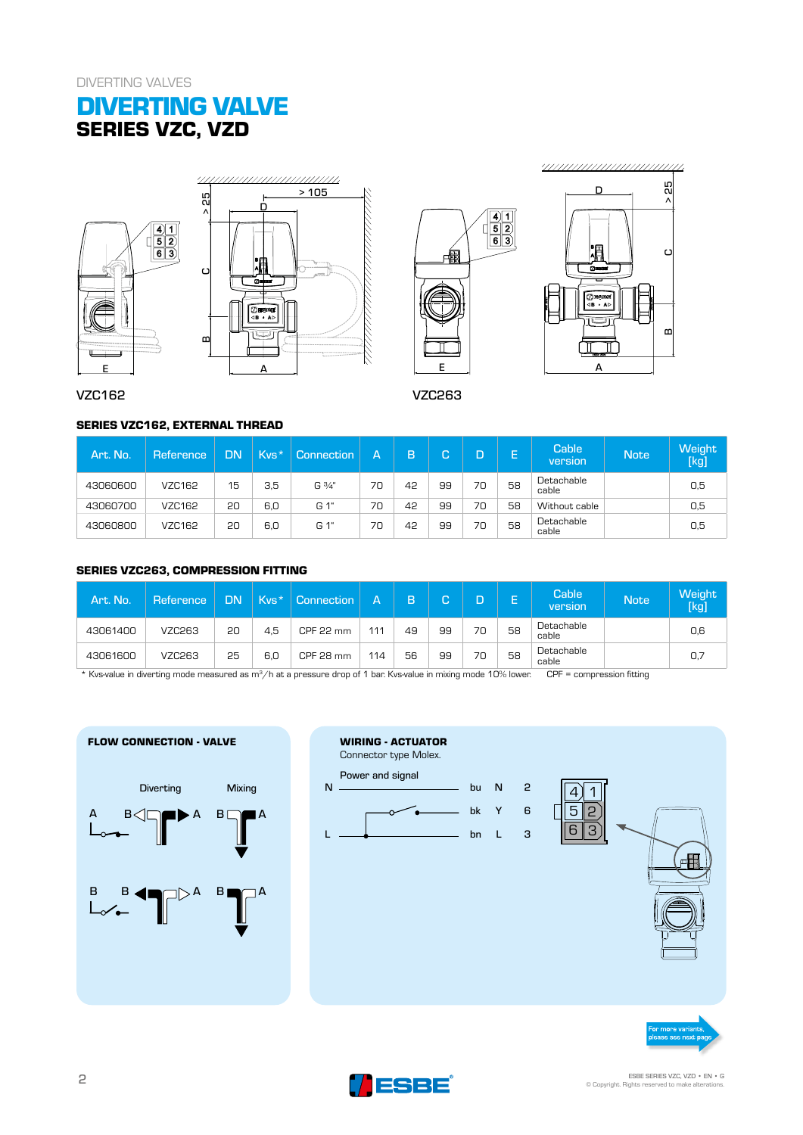# **DIVERTING VALVE SERIES VZC, VZD**





1 2 3



VZC162 VZC263

# **SERIES VZC162, EXTERNAL THREAD**

| Art. No. | Reference | <b>DN</b> | $Kvs*$ | Connection | А  | B  | $\sqrt{2}$<br>o | D  | E  | Cable<br>version    | <b>Note</b> | Weight<br>[kg] |
|----------|-----------|-----------|--------|------------|----|----|-----------------|----|----|---------------------|-------------|----------------|
| 43060600 | VZC162    | 15        | 3.5    | G 3/4"     | 70 | 42 | 99              | 70 | 58 | Detachable<br>cable |             | 0,5            |
| 43060700 | VZC162    | 20        | 6,0    | G 1"       | 70 | 42 | 99              | 70 | 58 | Without cable       |             | 0,5            |
| 43060800 | VZC162    | 20        | 6,0    | G 1"       | 70 | 42 | 99              | 70 | 58 | Detachable<br>cable |             | 0,5            |

### **SERIES VZC263, COMPRESSION FITTING**

| Art. No. | Reference | <b>DN</b> | $Kvs*$ | <b>Connection</b> | А   | B  | C  | D  | E  | <b>Cable</b><br>version | <b>Note</b> | Weight<br><b>Tkg]</b> |
|----------|-----------|-----------|--------|-------------------|-----|----|----|----|----|-------------------------|-------------|-----------------------|
| 43061400 | VZC263    | 20        | 4.5    | CPF 22 mm         | 111 | 49 | 99 | 70 | 58 | Detachable<br>cable     |             | 0,6                   |
| 43061600 | VZC263    | 25        | 6,0    | CPF 28 mm         | 114 | 56 | 99 | 70 | 58 | Detachable<br>cable     |             | 0,7                   |

\* Kvs-value in diverting mode measured as m3/h at a pressure drop of 1 bar. Kvs-value in mixing mode 10% lower. CPF = compression fitting



ESBE SERIES VZC, VZD • EN • G © Copyright. Rights reserved to make alterations.

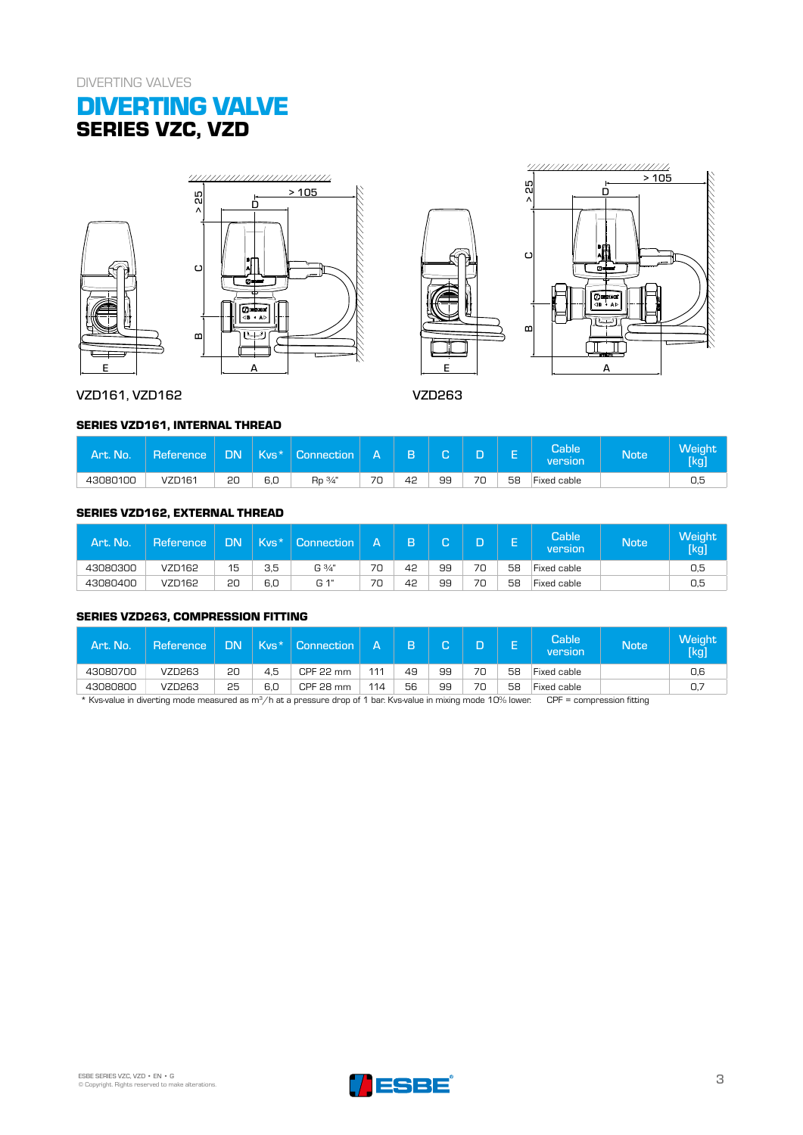# **DIVERTING VALVE SERIES VZC, VZD**







VZD161, VZD162 VZD263

### **SERIES VZD161, INTERNAL THREAD**

| Art. No. | Reference | DN. |     | $Kvs^*$   Connection | IΔ | B  | $\sqrt{2}$ | $\overline{\phantom{a}}$ |    | <b>Cable</b><br>version | <b>Note</b> | <b>Weight</b><br><b>Tkgj</b> |
|----------|-----------|-----|-----|----------------------|----|----|------------|--------------------------|----|-------------------------|-------------|------------------------------|
| 43080100 | VZD161    | 20  | 6.0 | Rp 3/4"              | 70 | 42 | 99         | 70                       | 58 | Fixed cable             |             |                              |

K

# **SERIES VZD162, EXTERNAL THREAD**

| Art. No.' | Reference | DN | Kvs* | Connection | А  | B  | റ  | n<br>ш | −  | Cable'<br>version | <b>Note</b> | Weight <sup>1</sup><br>[kg]\ |
|-----------|-----------|----|------|------------|----|----|----|--------|----|-------------------|-------------|------------------------------|
| 43080300  | VZD162    | 15 | 3,5  | G 3/4"     | 70 | 42 | 99 | 70     | 58 | Fixed cable       |             | 0,5                          |
| 43080400  | VZD162    | 20 | 6,0  | G 1"       | 70 | 42 | 99 | 70     | 58 | Fixed cable       |             | 0,5                          |

### **SERIES VZD263, COMPRESSION FITTING**

| Art. No. | <b>Reference</b> | DN' | $Kvs*$ | <b>Connection</b> |     | B  | ⌒  | D  | -  | Cable <sup>1</sup><br>version | <b>Note</b> | <b>Weight</b><br>[kg] |
|----------|------------------|-----|--------|-------------------|-----|----|----|----|----|-------------------------------|-------------|-----------------------|
| 43080700 | VZD263           | 20  | 4.5    | CPF 22 mm         | 111 | 49 | 99 | 70 | 58 | Fixed cable                   |             | 0,6                   |
| 43080800 | VZD263           | 25  | 6,0    | CPF 28 mm         | 114 | 56 | 99 | 70 | 58 | Fixed cable                   |             | 0,7                   |

\* Kvs-value in diverting mode measured as m3/h at a pressure drop of 1 bar. Kvs-value in mixing mode 10% lower. CPF = compression fitting